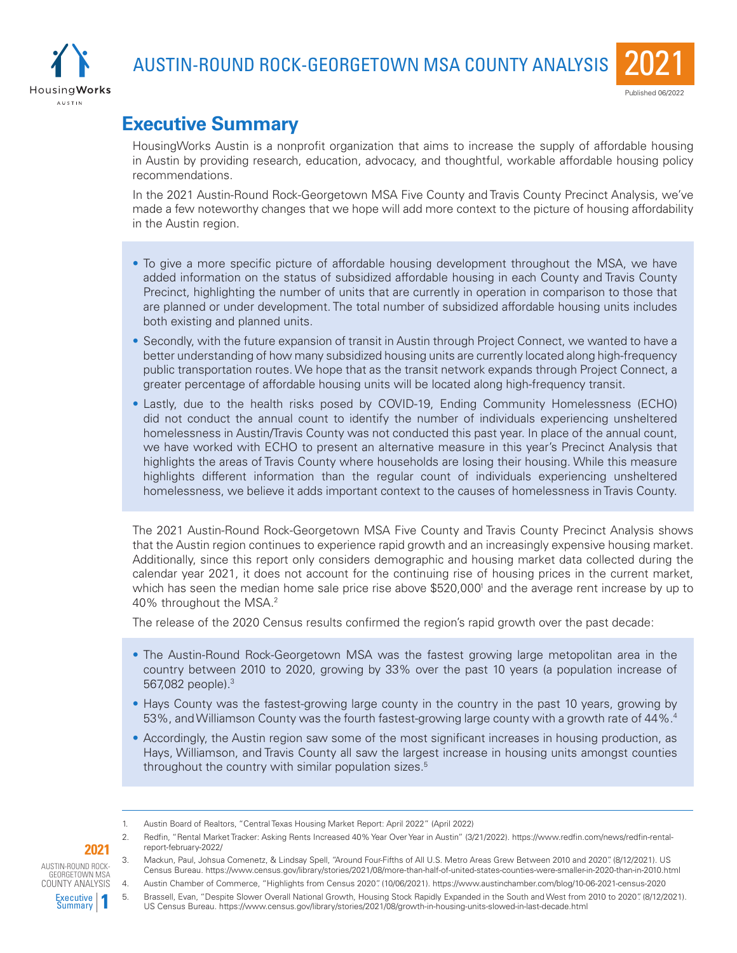



# **Executive Summary**

HousingWorks Austin is a nonprofit organization that aims to increase the supply of affordable housing in Austin by providing research, education, advocacy, and thoughtful, workable affordable housing policy recommendations.

In the 2021 Austin-Round Rock-Georgetown MSA Five County and Travis County Precinct Analysis, we've made a few noteworthy changes that we hope will add more context to the picture of housing affordability in the Austin region.

- To give a more specific picture of affordable housing development throughout the MSA, we have added information on the status of subsidized affordable housing in each County and Travis County Precinct, highlighting the number of units that are currently in operation in comparison to those that are planned or under development. The total number of subsidized affordable housing units includes both existing and planned units.
- Secondly, with the future expansion of transit in Austin through Project Connect, we wanted to have a better understanding of how many subsidized housing units are currently located along high-frequency public transportation routes. We hope that as the transit network expands through Project Connect, a greater percentage of affordable housing units will be located along high-frequency transit.
- Lastly, due to the health risks posed by COVID-19, Ending Community Homelessness (ECHO) did not conduct the annual count to identify the number of individuals experiencing unsheltered homelessness in Austin/Travis County was not conducted this past year. In place of the annual count, we have worked with ECHO to present an alternative measure in this year's Precinct Analysis that highlights the areas of Travis County where households are losing their housing. While this measure highlights different information than the regular count of individuals experiencing unsheltered homelessness, we believe it adds important context to the causes of homelessness in Travis County.

The 2021 Austin-Round Rock-Georgetown MSA Five County and Travis County Precinct Analysis shows that the Austin region continues to experience rapid growth and an increasingly expensive housing market. Additionally, since this report only considers demographic and housing market data collected during the calendar year 2021, it does not account for the continuing rise of housing prices in the current market, which has seen the median home sale price rise above \$520,000<sup>1</sup> and the average rent increase by up to 40% throughout the MSA.<sup>2</sup>

The release of the 2020 Census results confirmed the region's rapid growth over the past decade:

- The Austin-Round Rock-Georgetown MSA was the fastest growing large metopolitan area in the country between 2010 to 2020, growing by 33% over the past 10 years (a population increase of 567,082 people).3
- Hays County was the fastest-growing large county in the country in the past 10 years, growing by 53%, and Williamson County was the fourth fastest-growing large county with a growth rate of 44%.4
- Accordingly, the Austin region saw some of the most significant increases in housing production, as Hays, Williamson, and Travis County all saw the largest increase in housing units amongst counties throughout the country with similar population sizes.<sup>5</sup>

1. Austin Board of Realtors, "Central Texas Housing Market Report: April 2022" (April 2022)

- 2. Redfin, "Rental Market Tracker: Asking Rents Increased 40% Year Over Year in Austin" (3/21/2022). https://www.redfin.com/news/redfin-rentalreport-february-2022/
- **2021** AUSTIN-ROUND ROCK-GEORGETOWN MSA

COUNTY ANALYSIS Executive Executive | 1

3. Mackun, Paul, Johsua Comenetz, & Lindsay Spell, "Around Four-Fifths of All U.S. Metro Areas Grew Between 2010 and 2020". (8/12/2021). US Census Bureau. https://www.census.gov/library/stories/2021/08/more-than-half-of-united-states-counties-were-smaller-in-2020-than-in-2010.html 4. Austin Chamber of Commerce, "Highlights from Census 2020". (10/06/2021). https://www.austinchamber.com/blog/10-06-2021-census-2020

5. Brassell, Evan, "Despite Slower Overall National Growth, Housing Stock Rapidly Expanded in the South and West from 2010 to 2020". (8/12/2021). US Census Bureau. https://www.census.gov/library/stories/2021/08/growth-in-housing-units-slowed-in-last-decade.html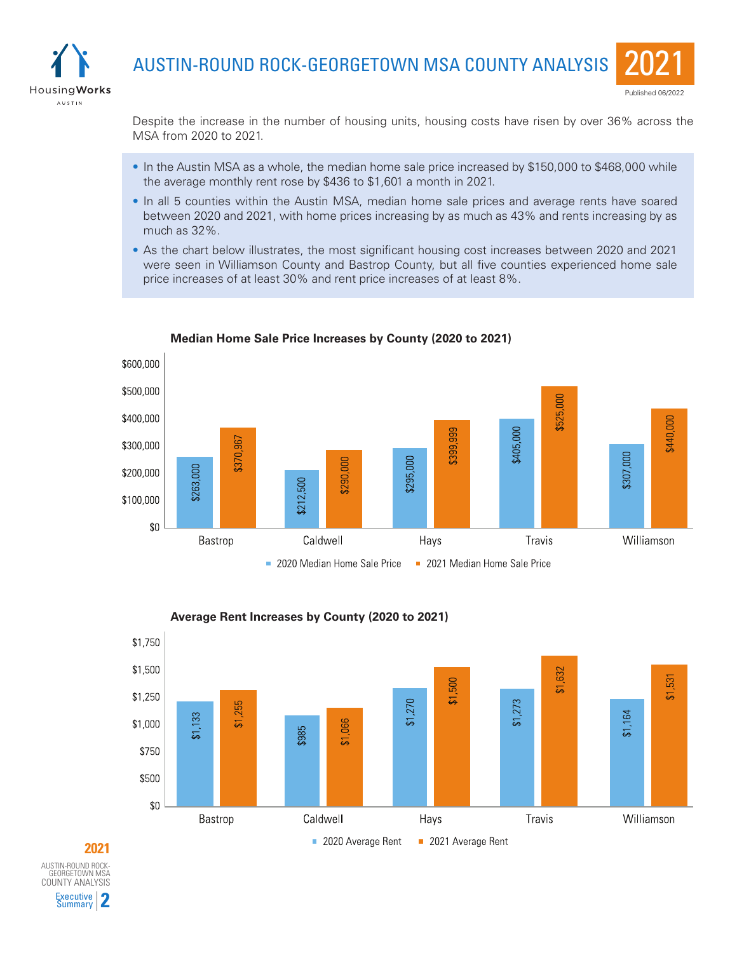



Despite the increase in the number of housing units, housing costs have risen by over 36% across the MSA from 2020 to 2021.

- In the Austin MSA as a whole, the median home sale price increased by \$150,000 to \$468,000 while the average monthly rent rose by \$436 to \$1,601 a month in 2021.
- In all 5 counties within the Austin MSA, median home sale prices and average rents have soared between 2020 and 2021, with home prices increasing by as much as 43% and rents increasing by as much as 32%.
- As the chart below illustrates, the most significant housing cost increases between 2020 and 2021 were seen in Williamson County and Bastrop County, but all five counties experienced home sale price increases of at least 30% and rent price increases of at least 8%.



**Median Home Sale Price Increases by County (2020 to 2021)**

**Average Rent Increases by County (2020 to 2021)**



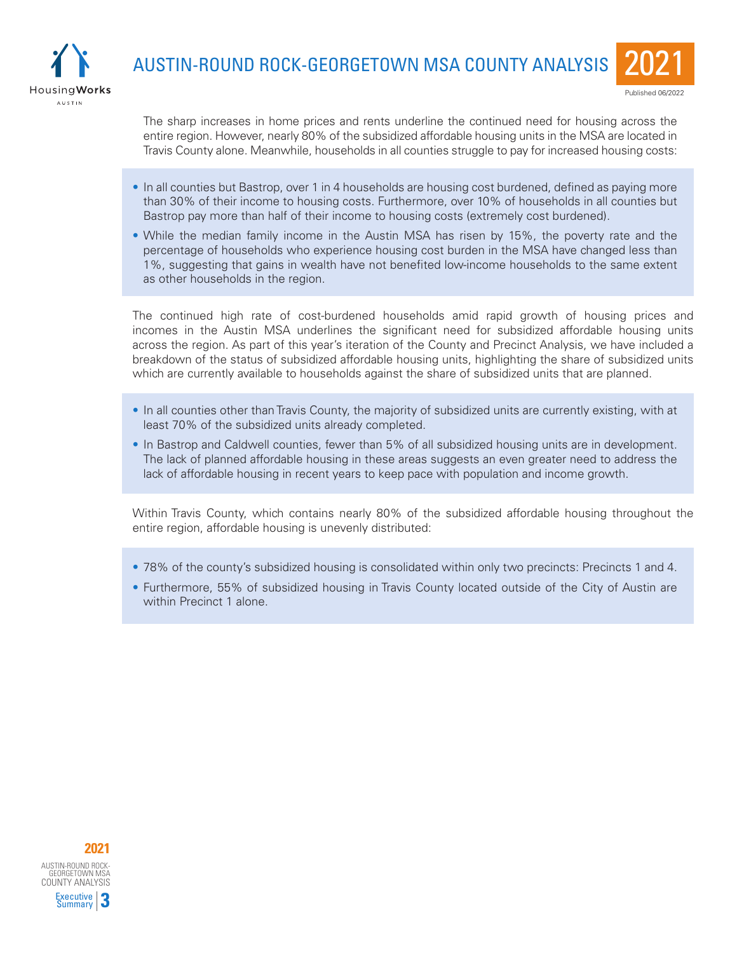



The sharp increases in home prices and rents underline the continued need for housing across the entire region. However, nearly 80% of the subsidized affordable housing units in the MSA are located in Travis County alone. Meanwhile, households in all counties struggle to pay for increased housing costs:

- In all counties but Bastrop, over 1 in 4 households are housing cost burdened, defined as paying more than 30% of their income to housing costs. Furthermore, over 10% of households in all counties but Bastrop pay more than half of their income to housing costs (extremely cost burdened).
- While the median family income in the Austin MSA has risen by 15%, the poverty rate and the percentage of households who experience housing cost burden in the MSA have changed less than 1%, suggesting that gains in wealth have not benefited low-income households to the same extent as other households in the region.

The continued high rate of cost-burdened households amid rapid growth of housing prices and incomes in the Austin MSA underlines the significant need for subsidized affordable housing units across the region. As part of this year's iteration of the County and Precinct Analysis, we have included a breakdown of the status of subsidized affordable housing units, highlighting the share of subsidized units which are currently available to households against the share of subsidized units that are planned.

- In all counties other than Travis County, the majority of subsidized units are currently existing, with at least 70% of the subsidized units already completed.
- In Bastrop and Caldwell counties, fewer than 5% of all subsidized housing units are in development. The lack of planned affordable housing in these areas suggests an even greater need to address the lack of affordable housing in recent years to keep pace with population and income growth.

Within Travis County, which contains nearly 80% of the subsidized affordable housing throughout the entire region, affordable housing is unevenly distributed:

- 78% of the county's subsidized housing is consolidated within only two precincts: Precincts 1 and 4.
- Furthermore, 55% of subsidized housing in Travis County located outside of the City of Austin are within Precinct 1 alone.

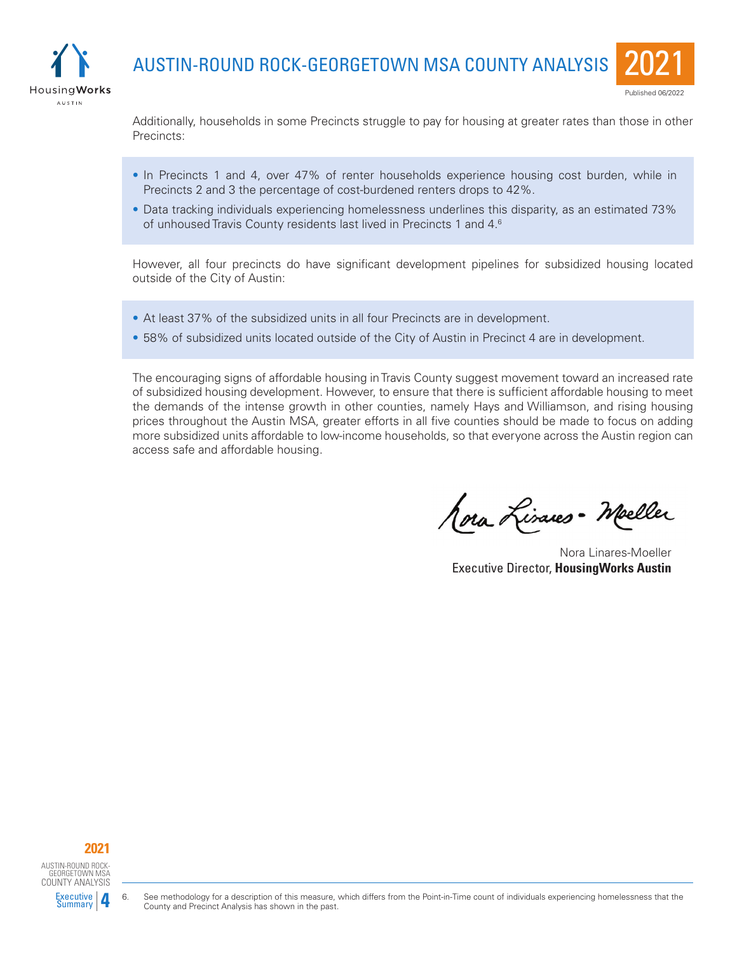



Additionally, households in some Precincts struggle to pay for housing at greater rates than those in other Precincts:

- In Precincts 1 and 4, over 47% of renter households experience housing cost burden, while in Precincts 2 and 3 the percentage of cost-burdened renters drops to 42%.
- Data tracking individuals experiencing homelessness underlines this disparity, as an estimated 73% of unhoused Travis County residents last lived in Precincts 1 and 4.6

However, all four precincts do have significant development pipelines for subsidized housing located outside of the City of Austin:

- At least 37% of the subsidized units in all four Precincts are in development.
- 58% of subsidized units located outside of the City of Austin in Precinct 4 are in development.

The encouraging signs of affordable housing in Travis County suggest movement toward an increased rate of subsidized housing development. However, to ensure that there is sufficient affordable housing to meet the demands of the intense growth in other counties, namely Hays and Williamson, and rising housing prices throughout the Austin MSA, greater efforts in all five counties should be made to focus on adding more subsidized units affordable to low-income households, so that everyone across the Austin region can access safe and affordable housing.

Nora Lisanes - Moeller

Nora Linares-Moeller Executive Director, **HousingWorks Austin**



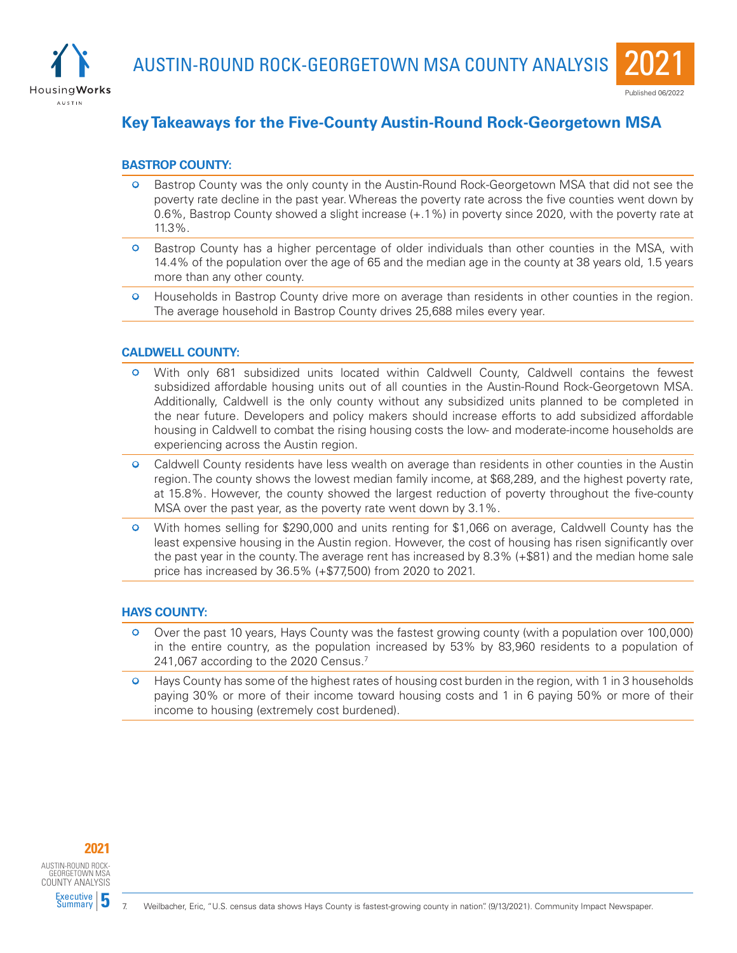



## **Key Takeaways for the Five-County Austin-Round Rock-Georgetown MSA**

### **BASTROP COUNTY:**

- Bastrop County was the only county in the Austin-Round Rock-Georgetown MSA that did not see the poverty rate decline in the past year. Whereas the poverty rate across the five counties went down by 0.6%, Bastrop County showed a slight increase (+.1%) in poverty since 2020, with the poverty rate at 11.3%.
- Bastrop County has a higher percentage of older individuals than other counties in the MSA, with 14.4% of the population over the age of 65 and the median age in the county at 38 years old, 1.5 years more than any other county.
- Households in Bastrop County drive more on average than residents in other counties in the region. The average household in Bastrop County drives 25,688 miles every year.

### **CALDWELL COUNTY:**

- With only 681 subsidized units located within Caldwell County, Caldwell contains the fewest subsidized affordable housing units out of all counties in the Austin-Round Rock-Georgetown MSA. Additionally, Caldwell is the only county without any subsidized units planned to be completed in the near future. Developers and policy makers should increase efforts to add subsidized affordable housing in Caldwell to combat the rising housing costs the low- and moderate-income households are experiencing across the Austin region.
- Caldwell County residents have less wealth on average than residents in other counties in the Austin region. The county shows the lowest median family income, at \$68,289, and the highest poverty rate, at 15.8%. However, the county showed the largest reduction of poverty throughout the five-county MSA over the past year, as the poverty rate went down by 3.1%.
- With homes selling for \$290,000 and units renting for \$1,066 on average, Caldwell County has the least expensive housing in the Austin region. However, the cost of housing has risen significantly over the past year in the county. The average rent has increased by 8.3% (+\$81) and the median home sale price has increased by 36.5% (+\$77,500) from 2020 to 2021.

#### **HAYS COUNTY:**

- Over the past 10 years, Hays County was the fastest growing county (with a population over 100,000) in the entire country, as the population increased by 53% by 83,960 residents to a population of 241,067 according to the 2020 Census.7
- Hays County has some of the highest rates of housing cost burden in the region, with 1 in 3 households paying 30% or more of their income toward housing costs and 1 in 6 paying 50% or more of their income to housing (extremely cost burdened).



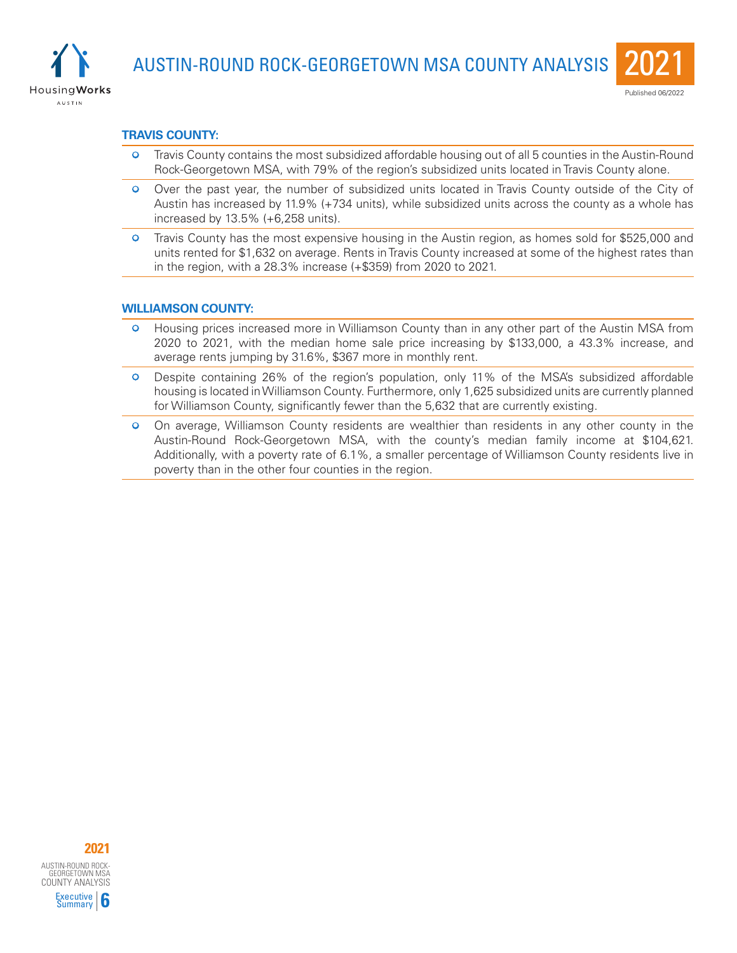



#### **TRAVIS COUNTY:**

- **•** Travis County contains the most subsidized affordable housing out of all 5 counties in the Austin-Round Rock-Georgetown MSA, with 79% of the region's subsidized units located in Travis County alone.
- Over the past year, the number of subsidized units located in Travis County outside of the City of Austin has increased by 11.9% (+734 units), while subsidized units across the county as a whole has increased by 13.5% (+6,258 units).
- Travis County has the most expensive housing in the Austin region, as homes sold for \$525,000 and units rented for \$1,632 on average. Rents in Travis County increased at some of the highest rates than in the region, with a 28.3% increase (+\$359) from 2020 to 2021.

#### **WILLIAMSON COUNTY:**

- Housing prices increased more in Williamson County than in any other part of the Austin MSA from 2020 to 2021, with the median home sale price increasing by \$133,000, a 43.3% increase, and average rents jumping by 31.6%, \$367 more in monthly rent.
- Despite containing 26% of the region's population, only 11% of the MSA's subsidized affordable housing is located in Williamson County. Furthermore, only 1,625 subsidized units are currently planned for Williamson County, significantly fewer than the 5,632 that are currently existing.
- On average, Williamson County residents are wealthier than residents in any other county in the Austin-Round Rock-Georgetown MSA, with the county's median family income at \$104,621. Additionally, with a poverty rate of 6.1%, a smaller percentage of Williamson County residents live in poverty than in the other four counties in the region.

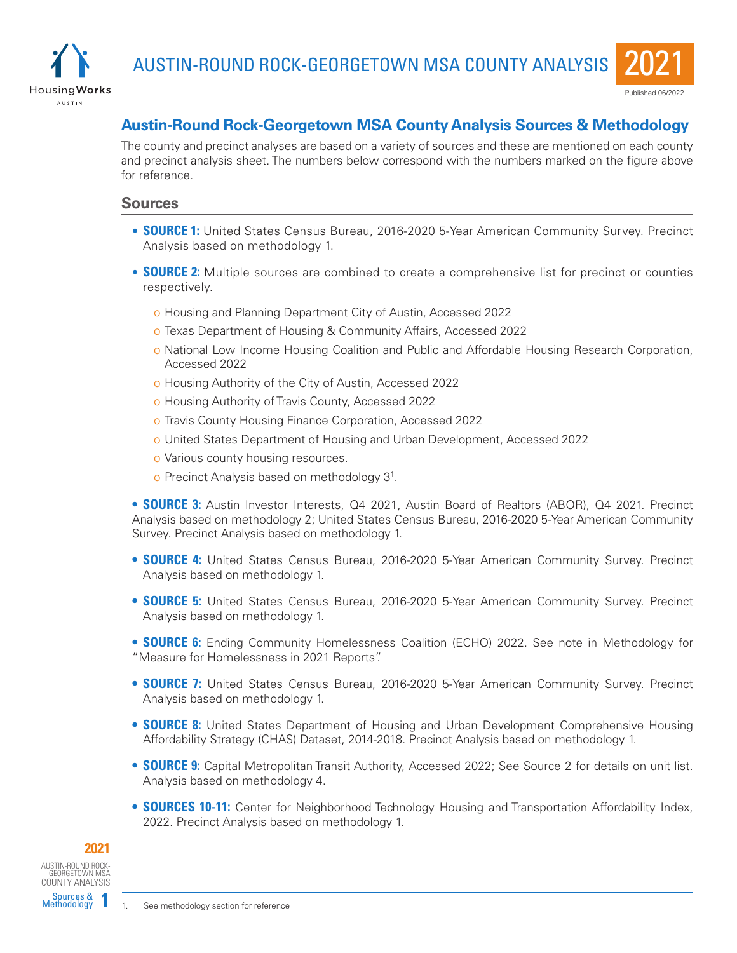



## **Austin-Round Rock-Georgetown MSA County Analysis Sources & Methodology**

The county and precinct analyses are based on a variety of sources and these are mentioned on each county and precinct analysis sheet. The numbers below correspond with the numbers marked on the figure above for reference.

### **Sources**

- **SOURCE 1:** United States Census Bureau, 2016-2020 5-Year American Community Survey. Precinct Analysis based on methodology 1.
- **SOURCE 2:** Multiple sources are combined to create a comprehensive list for precinct or counties respectively.
	- o Housing and Planning Department City of Austin, Accessed 2022
	- o Texas Department of Housing & Community Affairs, Accessed 2022
	- o National Low Income Housing Coalition and Public and Affordable Housing Research Corporation, Accessed 2022
	- o Housing Authority of the City of Austin, Accessed 2022
	- o Housing Authority of Travis County, Accessed 2022
	- o Travis County Housing Finance Corporation, Accessed 2022
	- o United States Department of Housing and Urban Development, Accessed 2022
	- o Various county housing resources.
	- o Precinct Analysis based on methodology 3<sup>1</sup>.

**• SOURCE 3:** Austin Investor Interests, Q4 2021, Austin Board of Realtors (ABOR), Q4 2021. Precinct Analysis based on methodology 2; United States Census Bureau, 2016-2020 5-Year American Community Survey. Precinct Analysis based on methodology 1.

- **• SOURCE 4:** United States Census Bureau, 2016-2020 5-Year American Community Survey. Precinct Analysis based on methodology 1.
- **• SOURCE 5:** United States Census Bureau, 2016-2020 5-Year American Community Survey. Precinct Analysis based on methodology 1.
- **• SOURCE 6:** Ending Community Homelessness Coalition (ECHO) 2022. See note in Methodology for "Measure for Homelessness in 2021 Reports".
- **• SOURCE 7:** United States Census Bureau, 2016-2020 5-Year American Community Survey. Precinct Analysis based on methodology 1.
- **SOURCE 8:** United States Department of Housing and Urban Development Comprehensive Housing Affordability Strategy (CHAS) Dataset, 2014-2018. Precinct Analysis based on methodology 1.
- **• SOURCE 9:** Capital Metropolitan Transit Authority, Accessed 2022; See Source 2 for details on unit list. Analysis based on methodology 4.
- **• SOURCES 10-11:** Center for Neighborhood Technology Housing and Transportation Affordability Index, 2022. Precinct Analysis based on methodology 1.



AUSTIN-ROUND ROCK-GEORGETOWN MSA COUNTY ANALYSIS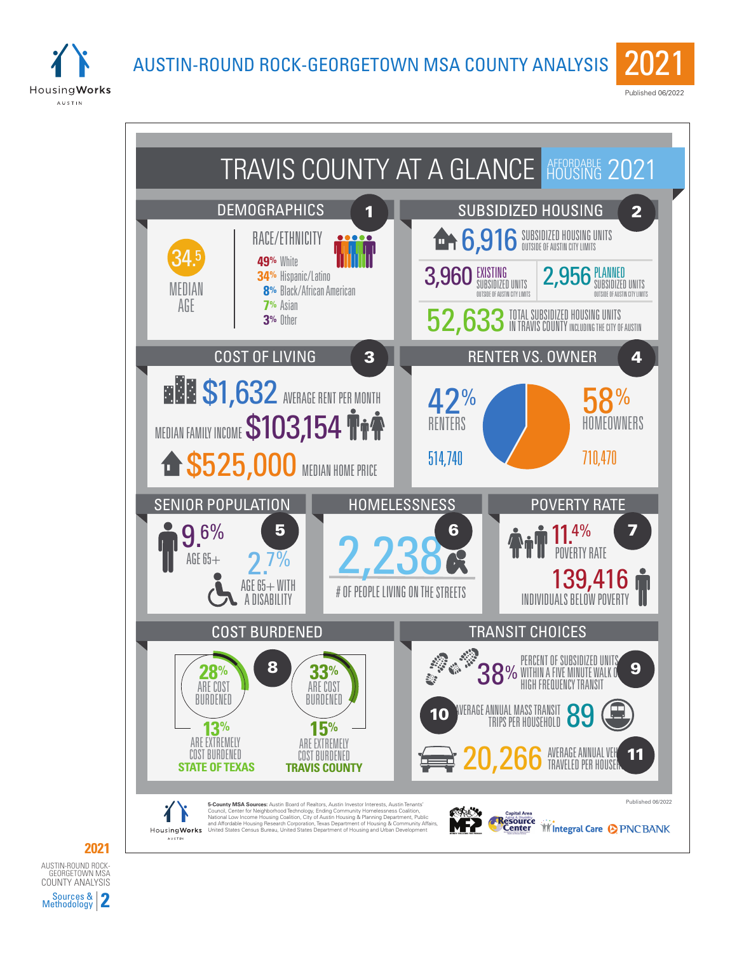AUSTIN-ROUND ROCK-GEORGETOWN MSA COUNTY ANALYSIS







# **2021**

AUSTIN-ROUND ROCK-GEORGETOWN MSA COUNTY ANALYSIS Sources & Methodology **2**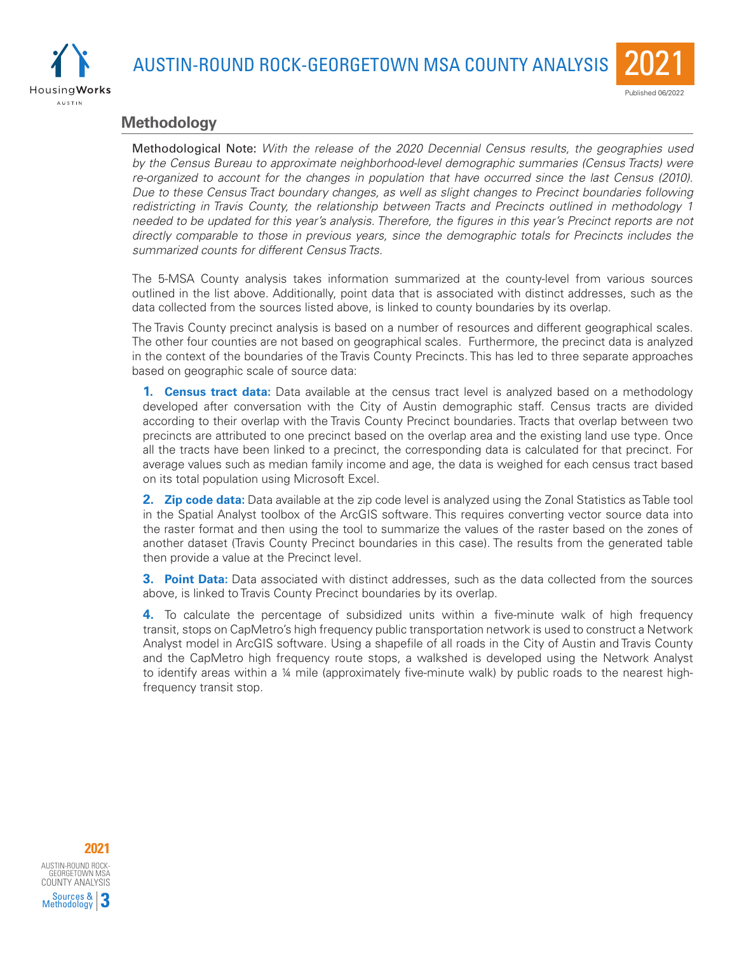





### **Methodology**

Methodological Note: *With the release of the 2020 Decennial Census results, the geographies used by the Census Bureau to approximate neighborhood-level demographic summaries (Census Tracts) were*  re-organized to account for the changes in population that have occurred since the last Census (2010). *Due to these Census Tract boundary changes, as well as slight changes to Precinct boundaries following redistricting in Travis County, the relationship between Tracts and Precincts outlined in methodology 1 needed to be updated for this year's analysis. Therefore, the figures in this year's Precinct reports are not directly comparable to those in previous years, since the demographic totals for Precincts includes the summarized counts for different Census Tracts.* 

The 5-MSA County analysis takes information summarized at the county-level from various sources outlined in the list above. Additionally, point data that is associated with distinct addresses, such as the data collected from the sources listed above, is linked to county boundaries by its overlap.

The Travis County precinct analysis is based on a number of resources and different geographical scales. The other four counties are not based on geographical scales. Furthermore, the precinct data is analyzed in the context of the boundaries of the Travis County Precincts. This has led to three separate approaches based on geographic scale of source data:

**1. Census tract data:** Data available at the census tract level is analyzed based on a methodology developed after conversation with the City of Austin demographic staff. Census tracts are divided according to their overlap with the Travis County Precinct boundaries. Tracts that overlap between two precincts are attributed to one precinct based on the overlap area and the existing land use type. Once all the tracts have been linked to a precinct, the corresponding data is calculated for that precinct. For average values such as median family income and age, the data is weighed for each census tract based on its total population using Microsoft Excel.

**2. Zip code data:** Data available at the zip code level is analyzed using the Zonal Statistics as Table tool in the Spatial Analyst toolbox of the ArcGIS software. This requires converting vector source data into the raster format and then using the tool to summarize the values of the raster based on the zones of another dataset (Travis County Precinct boundaries in this case). The results from the generated table then provide a value at the Precinct level.

**3. Point Data:** Data associated with distinct addresses, such as the data collected from the sources above, is linked to Travis County Precinct boundaries by its overlap.

**4.** To calculate the percentage of subsidized units within a five-minute walk of high frequency transit, stops on CapMetro's high frequency public transportation network is used to construct a Network Analyst model in ArcGIS software. Using a shapefile of all roads in the City of Austin and Travis County and the CapMetro high frequency route stops, a walkshed is developed using the Network Analyst to identify areas within a ¼ mile (approximately five-minute walk) by public roads to the nearest highfrequency transit stop.

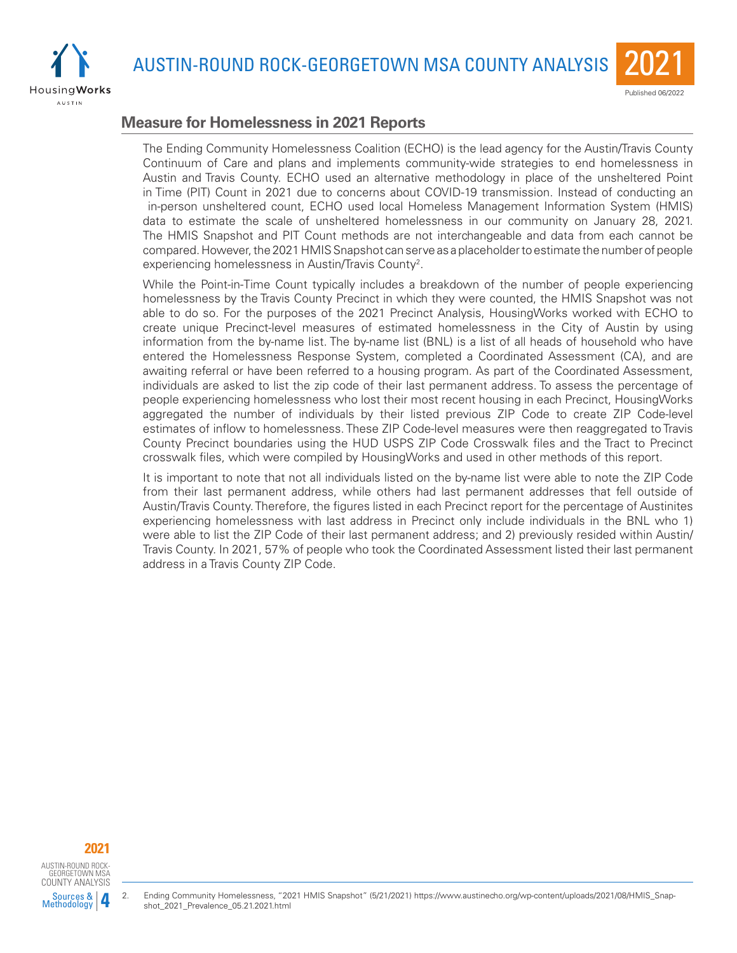



## **Measure for Homelessness in 2021 Reports**

The Ending Community Homelessness Coalition (ECHO) is the lead agency for the Austin/Travis County Continuum of Care and plans and implements community-wide strategies to end homelessness in Austin and Travis County. ECHO used an alternative methodology in place of the unsheltered Point in Time (PIT) Count in 2021 due to concerns about COVID-19 transmission. Instead of conducting an in-person unsheltered count, ECHO used local Homeless Management Information System (HMIS) data to estimate the scale of unsheltered homelessness in our community on January 28, 2021. The HMIS Snapshot and PIT Count methods are not interchangeable and data from each cannot be compared. However, the 2021 HMIS Snapshot can serve as a placeholder to estimate the number of people experiencing homelessness in Austin/Travis County<sup>2</sup>.

While the Point-in-Time Count typically includes a breakdown of the number of people experiencing homelessness by the Travis County Precinct in which they were counted, the HMIS Snapshot was not able to do so. For the purposes of the 2021 Precinct Analysis, HousingWorks worked with ECHO to create unique Precinct-level measures of estimated homelessness in the City of Austin by using information from the by-name list. The by-name list (BNL) is a list of all heads of household who have entered the Homelessness Response System, completed a Coordinated Assessment (CA), and are awaiting referral or have been referred to a housing program. As part of the Coordinated Assessment, individuals are asked to list the zip code of their last permanent address. To assess the percentage of people experiencing homelessness who lost their most recent housing in each Precinct, HousingWorks aggregated the number of individuals by their listed previous ZIP Code to create ZIP Code-level estimates of inflow to homelessness. These ZIP Code-level measures were then reaggregated to Travis County Precinct boundaries using the HUD USPS ZIP Code Crosswalk files and the Tract to Precinct crosswalk files, which were compiled by HousingWorks and used in other methods of this report.

It is important to note that not all individuals listed on the by-name list were able to note the ZIP Code from their last permanent address, while others had last permanent addresses that fell outside of Austin/Travis County. Therefore, the figures listed in each Precinct report for the percentage of Austinites experiencing homelessness with last address in Precinct only include individuals in the BNL who 1) were able to list the ZIP Code of their last permanent address; and 2) previously resided within Austin/ Travis County. In 2021, 57% of people who took the Coordinated Assessment listed their last permanent address in a Travis County ZIP Code.



AUSTIN-ROUND ROCK-GEORGETOWN MSA COUNTY ANALYSIS

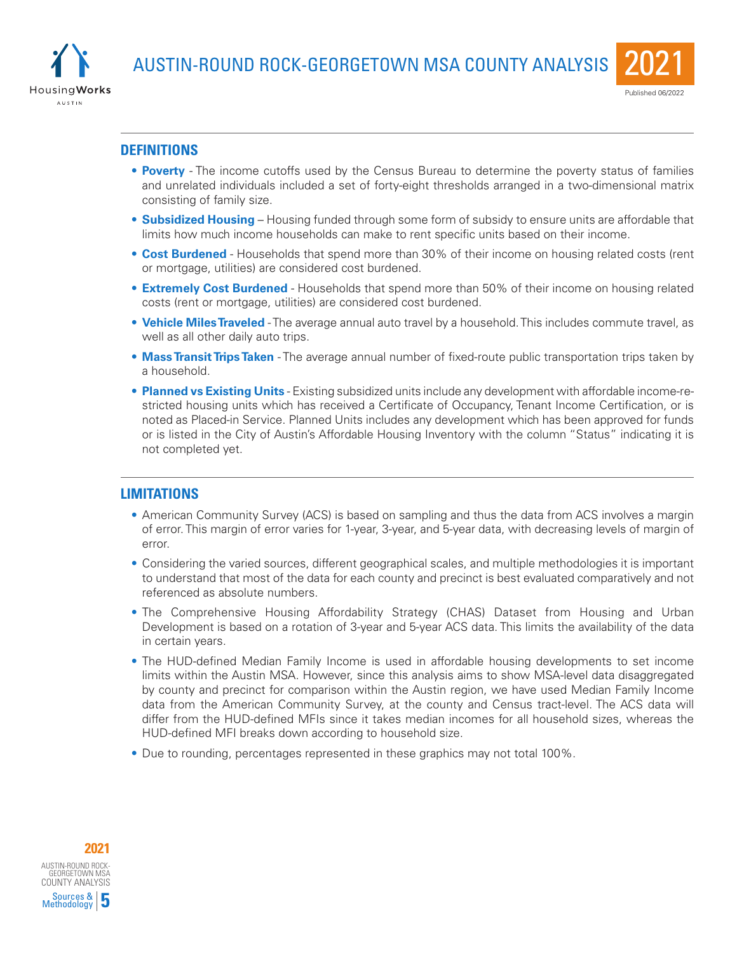



### **DEFINITIONS**

- **Poverty** The income cutoffs used by the Census Bureau to determine the poverty status of families and unrelated individuals included a set of forty-eight thresholds arranged in a two-dimensional matrix consisting of family size.
- **Subsidized Housing** Housing funded through some form of subsidy to ensure units are affordable that limits how much income households can make to rent specific units based on their income.
- **Cost Burdened** Households that spend more than 30% of their income on housing related costs (rent or mortgage, utilities) are considered cost burdened.
- **Extremely Cost Burdened** Households that spend more than 50% of their income on housing related costs (rent or mortgage, utilities) are considered cost burdened.
- **Vehicle Miles Traveled** The average annual auto travel by a household. This includes commute travel, as well as all other daily auto trips.
- **Mass Transit Trips Taken** The average annual number of fixed-route public transportation trips taken by a household.
- **Planned vs Existing Units** Existing subsidized units include any development with affordable income-restricted housing units which has received a Certificate of Occupancy, Tenant Income Certification, or is noted as Placed-in Service. Planned Units includes any development which has been approved for funds or is listed in the City of Austin's Affordable Housing Inventory with the column "Status" indicating it is not completed yet.

### **LIMITATIONS**

- American Community Survey (ACS) is based on sampling and thus the data from ACS involves a margin of error. This margin of error varies for 1-year, 3-year, and 5-year data, with decreasing levels of margin of error.
- Considering the varied sources, different geographical scales, and multiple methodologies it is important to understand that most of the data for each county and precinct is best evaluated comparatively and not referenced as absolute numbers.
- The Comprehensive Housing Affordability Strategy (CHAS) Dataset from Housing and Urban Development is based on a rotation of 3-year and 5-year ACS data. This limits the availability of the data in certain years.
- The HUD-defined Median Family Income is used in affordable housing developments to set income limits within the Austin MSA. However, since this analysis aims to show MSA-level data disaggregated by county and precinct for comparison within the Austin region, we have used Median Family Income data from the American Community Survey, at the county and Census tract-level. The ACS data will differ from the HUD-defined MFIs since it takes median incomes for all household sizes, whereas the HUD-defined MFI breaks down according to household size.
- Due to rounding, percentages represented in these graphics may not total 100%.

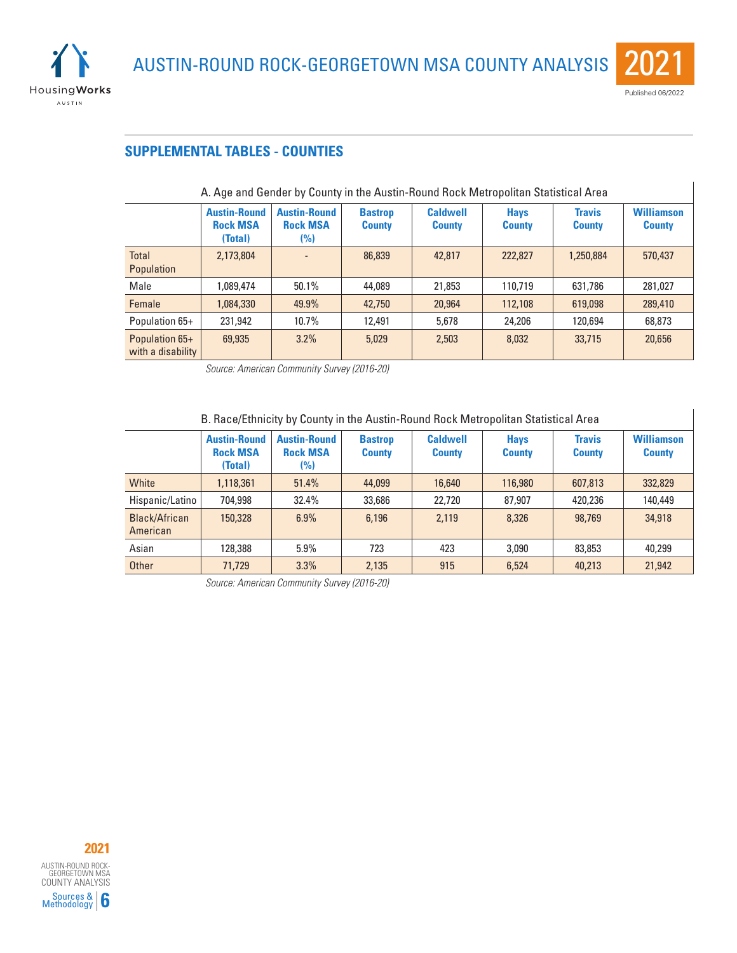



## **SUPPLEMENTAL TABLES - COUNTIES**

| A. Age and Gender by County in the Austin-Round Rock Metropolitan Statistical Area |                                                   |                                               |                                 |                                  |                              |                                |                                    |  |
|------------------------------------------------------------------------------------|---------------------------------------------------|-----------------------------------------------|---------------------------------|----------------------------------|------------------------------|--------------------------------|------------------------------------|--|
|                                                                                    | <b>Austin-Round</b><br><b>Rock MSA</b><br>(Total) | <b>Austin-Round</b><br><b>Rock MSA</b><br>(%) | <b>Bastrop</b><br><b>County</b> | <b>Caldwell</b><br><b>County</b> | <b>Hays</b><br><b>County</b> | <b>Travis</b><br><b>County</b> | <b>Williamson</b><br><b>County</b> |  |
| Total<br>Population                                                                | 2,173,804                                         |                                               | 86,839                          | 42,817                           | 222,827                      | 1,250,884                      | 570,437                            |  |
| Male                                                                               | 1.089.474                                         | 50.1%                                         | 44,089                          | 21,853                           | 110,719                      | 631,786                        | 281,027                            |  |
| Female                                                                             | 1,084,330                                         | 49.9%                                         | 42,750                          | 20,964                           | 112,108                      | 619,098                        | 289,410                            |  |
| Population 65+                                                                     | 231,942                                           | 10.7%                                         | 12,491                          | 5,678                            | 24,206                       | 120,694                        | 68,873                             |  |
| Population 65+<br>with a disability                                                | 69,935                                            | 3.2%                                          | 5,029                           | 2,503                            | 8,032                        | 33,715                         | 20,656                             |  |

*Source: American Community Survey (2016-20)*

| B. Race/Ethnicity by County in the Austin-Round Rock Metropolitan Statistical Area |                                                   |                                               |                                 |                                  |                              |                                |                                    |  |
|------------------------------------------------------------------------------------|---------------------------------------------------|-----------------------------------------------|---------------------------------|----------------------------------|------------------------------|--------------------------------|------------------------------------|--|
|                                                                                    | <b>Austin-Round</b><br><b>Rock MSA</b><br>(Total) | <b>Austin-Round</b><br><b>Rock MSA</b><br>(%) | <b>Bastrop</b><br><b>County</b> | <b>Caldwell</b><br><b>County</b> | <b>Hays</b><br><b>County</b> | <b>Travis</b><br><b>County</b> | <b>Williamson</b><br><b>County</b> |  |
| White                                                                              | 1,118,361                                         | 51.4%                                         | 44,099                          | 16,640                           | 116,980                      | 607,813                        | 332,829                            |  |
| Hispanic/Latino                                                                    | 704,998                                           | 32.4%                                         | 33,686                          | 22,720                           | 87,907                       | 420,236                        | 140.449                            |  |
| Black/African<br>American                                                          | 150,328                                           | 6.9%                                          | 6,196                           | 2.119                            | 8,326                        | 98.769                         | 34,918                             |  |
| Asian                                                                              | 128,388                                           | $5.9\%$                                       | 723                             | 423                              | 3,090                        | 83,853                         | 40,299                             |  |
| Other                                                                              | 71,729                                            | 3.3%                                          | 2,135                           | 915                              | 6,524                        | 40,213                         | 21,942                             |  |

*Source: American Community Survey (2016-20)*